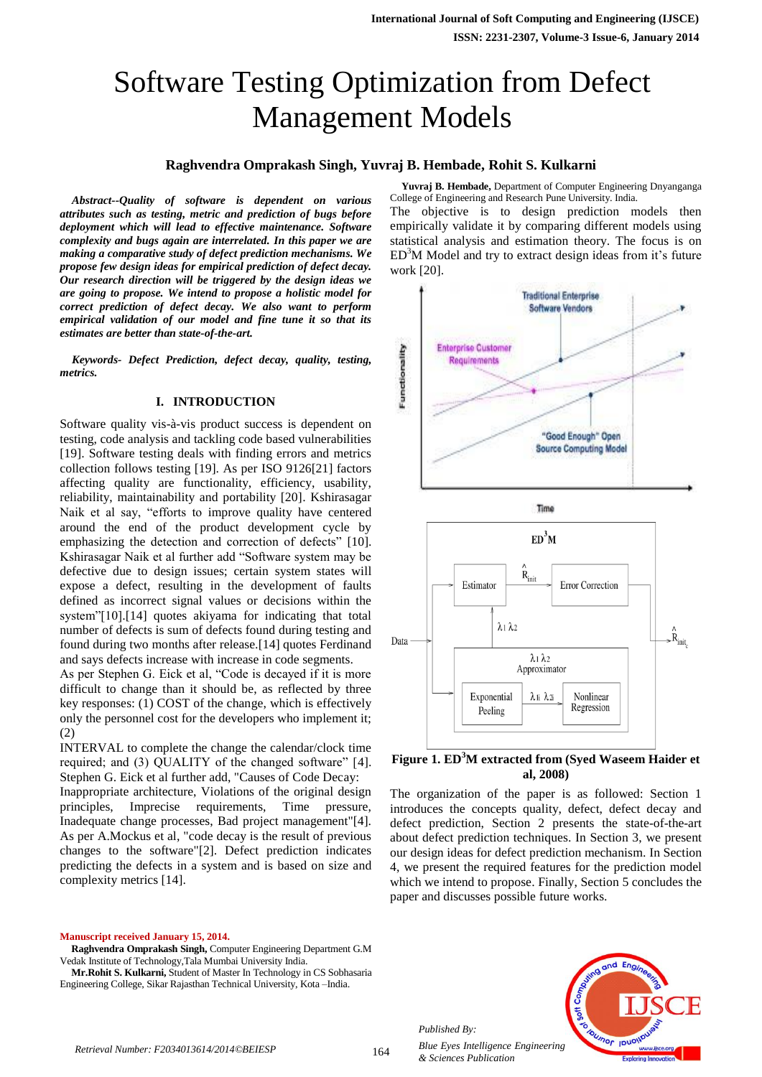# Software Testing Optimization from Defect Management Models

### **Raghvendra Omprakash Singh, Yuvraj B. Hembade, Rohit S. Kulkarni**

*Abstract--Quality of software is dependent on various attributes such as testing, metric and prediction of bugs before deployment which will lead to effective maintenance. Software complexity and bugs again are interrelated. In this paper we are making a comparative study of defect prediction mechanisms. We propose few design ideas for empirical prediction of defect decay. Our research direction will be triggered by the design ideas we are going to propose. We intend to propose a holistic model for correct prediction of defect decay. We also want to perform empirical validation of our model and fine tune it so that its estimates are better than state-of-the-art.*

*Keywords- Defect Prediction, defect decay, quality, testing, metrics.*

#### **I. INTRODUCTION**

Software quality vis-à-vis product success is dependent on testing, code analysis and tackling code based vulnerabilities [19]. Software testing deals with finding errors and metrics collection follows testing [19]. As per ISO 9126[21] factors affecting quality are functionality, efficiency, usability, reliability, maintainability and portability [20]. Kshirasagar Naik et al say, "efforts to improve quality have centered around the end of the product development cycle by emphasizing the detection and correction of defects" [10]. Kshirasagar Naik et al further add "Software system may be defective due to design issues; certain system states will expose a defect, resulting in the development of faults defined as incorrect signal values or decisions within the system"[10].[14] quotes akiyama for indicating that total number of defects is sum of defects found during testing and found during two months after release.[14] quotes Ferdinand and says defects increase with increase in code segments.

As per Stephen G. Eick et al, "Code is decayed if it is more difficult to change than it should be, as reflected by three key responses: (1) COST of the change, which is effectively only the personnel cost for the developers who implement it; (2)

INTERVAL to complete the change the calendar/clock time required; and (3) QUALITY of the changed software" [4]. Stephen G. Eick et al further add, "Causes of Code Decay: Inappropriate architecture, Violations of the original design principles, Imprecise requirements, Time pressure, Inadequate change processes, Bad project management"[4]. As per A.Mockus et al, "code decay is the result of previous changes to the software"[2]. Defect prediction indicates predicting the defects in a system and is based on size and complexity metrics [14].

**Manuscript received January 15, 2014.**

**Raghvendra Omprakash Singh,** Computer Engineering Department G.M Vedak Institute of Technology,Tala Mumbai University India.

**Mr.Rohit S. Kulkarni,** Student of Master In Technology in CS Sobhasaria Engineering College, Sikar Rajasthan Technical University, Kota –India.

**Yuvraj B. Hembade,** Department of Computer Engineering Dnyanganga College of Engineering and Research Pune University. India. The objective is to design prediction models then

empirically validate it by comparing different models using statistical analysis and estimation theory. The focus is on  $ED<sup>3</sup>M$  Model and try to extract design ideas from it's future work [20].



#### **Figure 1. ED<sup>3</sup>M extracted from (Syed Waseem Haider et al, 2008)**

The organization of the paper is as followed: Section 1 introduces the concepts quality, defect, defect decay and defect prediction, Section 2 presents the state-of-the-art about defect prediction techniques. In Section 3, we present our design ideas for defect prediction mechanism. In Section 4, we present the required features for the prediction model which we intend to propose. Finally, Section 5 concludes the paper and discusses possible future works.



*Published By:*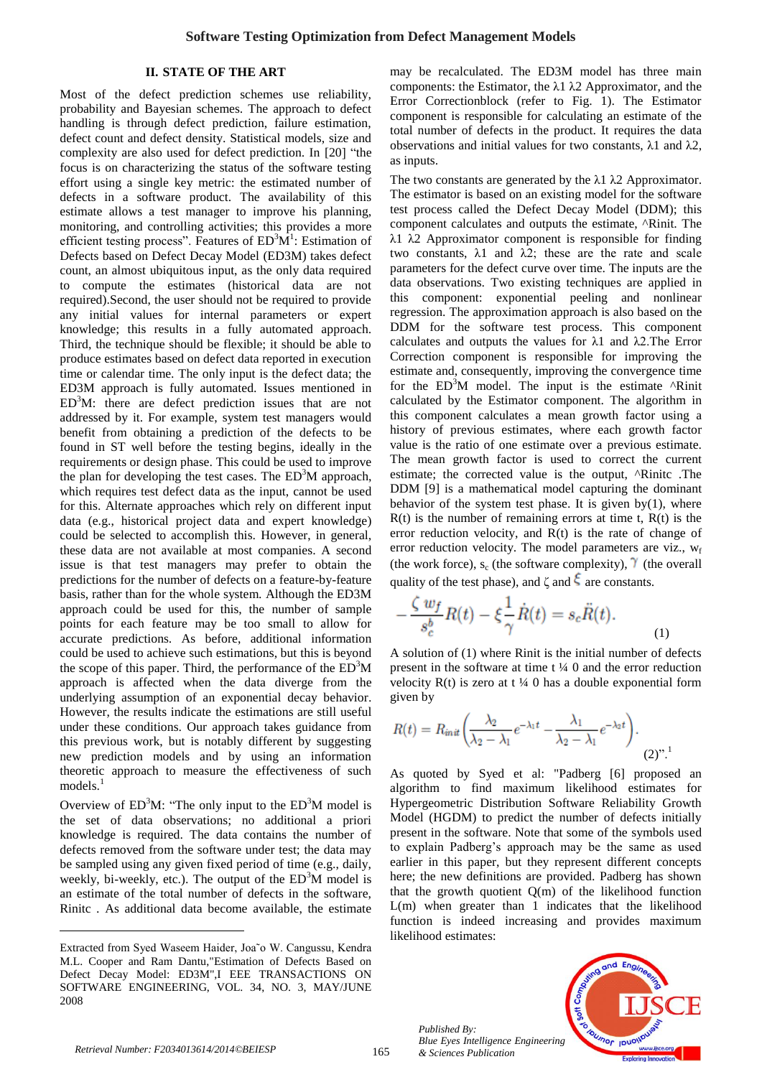#### **II. STATE OF THE ART**

Most of the defect prediction schemes use reliability, probability and Bayesian schemes. The approach to defect handling is through defect prediction, failure estimation, defect count and defect density. Statistical models, size and complexity are also used for defect prediction. In [20] "the focus is on characterizing the status of the software testing effort using a single key metric: the estimated number of defects in a software product. The availability of this estimate allows a test manager to improve his planning, monitoring, and controlling activities; this provides a more efficient testing process". Features of  $ED<sup>3</sup>M<sup>1</sup>$ : Estimation of Defects based on Defect Decay Model (ED3M) takes defect count, an almost ubiquitous input, as the only data required to compute the estimates (historical data are not required).Second, the user should not be required to provide any initial values for internal parameters or expert knowledge; this results in a fully automated approach. Third, the technique should be flexible; it should be able to produce estimates based on defect data reported in execution time or calendar time. The only input is the defect data; the ED3M approach is fully automated. Issues mentioned in  $ED<sup>3</sup>M$ : there are defect prediction issues that are not addressed by it. For example, system test managers would benefit from obtaining a prediction of the defects to be found in ST well before the testing begins, ideally in the requirements or design phase. This could be used to improve the plan for developing the test cases. The  $ED<sup>3</sup>M$  approach, which requires test defect data as the input, cannot be used for this. Alternate approaches which rely on different input data (e.g., historical project data and expert knowledge) could be selected to accomplish this. However, in general, these data are not available at most companies. A second issue is that test managers may prefer to obtain the predictions for the number of defects on a feature-by-feature basis, rather than for the whole system. Although the ED3M approach could be used for this, the number of sample points for each feature may be too small to allow for accurate predictions. As before, additional information could be used to achieve such estimations, but this is beyond the scope of this paper. Third, the performance of the  $ED<sup>3</sup>M$ approach is affected when the data diverge from the underlying assumption of an exponential decay behavior. However, the results indicate the estimations are still useful under these conditions. Our approach takes guidance from this previous work, but is notably different by suggesting new prediction models and by using an information theoretic approach to measure the effectiveness of such models.<sup>1</sup>

Overview of  $ED<sup>3</sup>M$ : "The only input to the  $ED<sup>3</sup>M$  model is the set of data observations; no additional a priori knowledge is required. The data contains the number of defects removed from the software under test; the data may be sampled using any given fixed period of time (e.g., daily, weekly, bi-weekly, etc.). The output of the  $ED<sup>3</sup>M$  model is an estimate of the total number of defects in the software, Rinitc . As additional data become available, the estimate

may be recalculated. The ED3M model has three main components: the Estimator, the λ1 λ2 Approximator, and the Error Correctionblock (refer to Fig. 1). The Estimator component is responsible for calculating an estimate of the total number of defects in the product. It requires the data observations and initial values for two constants, λ1 and λ2, as inputs.

The two constants are generated by the  $\lambda$ 1  $\lambda$ 2 Approximator. The estimator is based on an existing model for the software test process called the Defect Decay Model (DDM); this component calculates and outputs the estimate, ^Rinit. The λ1 λ2 Approximator component is responsible for finding two constants,  $\lambda$ 1 and  $\lambda$ 2; these are the rate and scale parameters for the defect curve over time. The inputs are the data observations. Two existing techniques are applied in this component: exponential peeling and nonlinear regression. The approximation approach is also based on the DDM for the software test process. This component calculates and outputs the values for λ1 and λ2.The Error Correction component is responsible for improving the estimate and, consequently, improving the convergence time for the  $ED<sup>3</sup>M$  model. The input is the estimate  $\Delta$ Rinit calculated by the Estimator component. The algorithm in this component calculates a mean growth factor using a history of previous estimates, where each growth factor value is the ratio of one estimate over a previous estimate. The mean growth factor is used to correct the current estimate; the corrected value is the output, ^Rinitc .The DDM [9] is a mathematical model capturing the dominant behavior of the system test phase. It is given by(1), where  $R(t)$  is the number of remaining errors at time t,  $R(t)$  is the error reduction velocity, and R(t) is the rate of change of error reduction velocity. The model parameters are viz.,  $w_f$ (the work force),  $s_c$  (the software complexity),  $\gamma$  (the overall quality of the test phase), and  $\zeta$  and  $\zeta$  are constants.

$$
-\frac{\zeta w_f}{s_c^b}R(t) - \xi \frac{1}{\gamma}\dot{R}(t) = s_c\ddot{R}(t). \tag{1}
$$

A solution of (1) where Rinit is the initial number of defects present in the software at time  $t \frac{1}{4}$  0 and the error reduction velocity  $R(t)$  is zero at t ¼ 0 has a double exponential form given by

$$
R(t) = R_{\text{init}} \left( \frac{\lambda_2}{\lambda_2 - \lambda_1} e^{-\lambda_1 t} - \frac{\lambda_1}{\lambda_2 - \lambda_1} e^{-\lambda_2 t} \right). \tag{2)''}.
$$

As quoted by Syed et al: "Padberg [6] proposed an algorithm to find maximum likelihood estimates for Hypergeometric Distribution Software Reliability Growth Model (HGDM) to predict the number of defects initially present in the software. Note that some of the symbols used to explain Padberg's approach may be the same as used earlier in this paper, but they represent different concepts here; the new definitions are provided. Padberg has shown that the growth quotient  $Q(m)$  of the likelihood function L(m) when greater than 1 indicates that the likelihood function is indeed increasing and provides maximum likelihood estimates:



 $\overline{a}$ 

Extracted from Syed Waseem Haider, Joa˜o W. Cangussu, Kendra M.L. Cooper and Ram Dantu,"Estimation of Defects Based on Defect Decay Model: ED3M",I EEE TRANSACTIONS ON SOFTWARE ENGINEERING, VOL. 34, NO. 3, MAY/JUNE 2008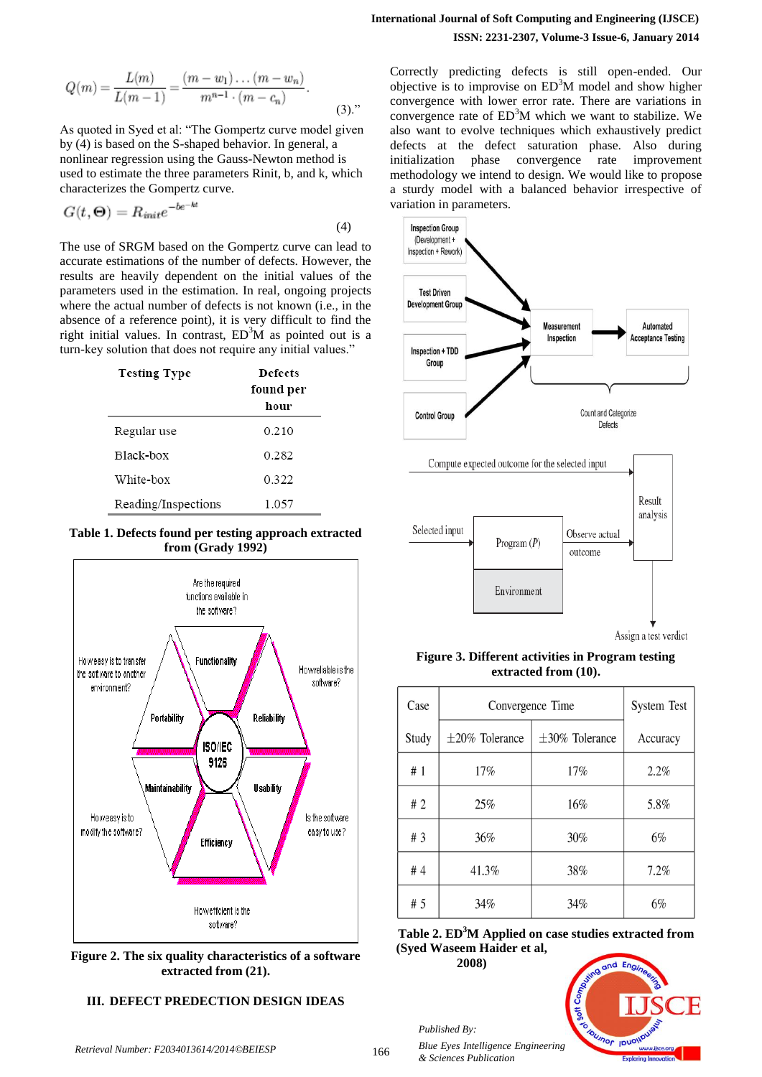$$
Q(m) = \frac{L(m)}{L(m-1)} = \frac{(m-w_1)\dots(m-w_n)}{m^{n-1}\cdot(m-c_n)}.
$$
\n(3).

As quoted in Syed et al: "The Gompertz curve model given by (4) is based on the S-shaped behavior. In general, a nonlinear regression using the Gauss-Newton method is used to estimate the three parameters Rinit, b, and k, which characterizes the Gompertz curve.

$$
G(t, \Theta) = R_{init}e^{-be^{-kt}}
$$
\n(4)

The use of SRGM based on the Gompertz curve can lead to accurate estimations of the number of defects. However, the results are heavily dependent on the initial values of the parameters used in the estimation. In real, ongoing projects where the actual number of defects is not known (i.e., in the absence of a reference point), it is very difficult to find the right initial values. In contrast,  $ED<sup>3</sup>M$  as pointed out is a turn-key solution that does not require any initial values."

| <b>Testing Type</b> | Defects<br>found per<br>hour |
|---------------------|------------------------------|
| Regular use         | 0.210                        |
| Black-box           | 0.282                        |
| White-box           | 0.322                        |
| Reading/Inspections | 1.057                        |

**Table 1. Defects found per testing approach extracted from (Grady 1992)**



**Figure 2. The six quality characteristics of a software extracted from (21).**

### **III. DEFECT PREDECTION DESIGN IDEAS**

Correctly predicting defects is still open-ended. Our objective is to improvise on  $ED<sup>3</sup>M$  model and show higher convergence with lower error rate. There are variations in convergence rate of  $ED<sup>3</sup>M$  which we want to stabilize. We also want to evolve techniques which exhaustively predict defects at the defect saturation phase. Also during initialization phase convergence rate improvement methodology we intend to design. We would like to propose a sturdy model with a balanced behavior irrespective of variation in parameters.



**Figure 3. Different activities in Program testing extracted from (10).**

| Case  | Convergence Time     |                      | <b>System Test</b> |
|-------|----------------------|----------------------|--------------------|
| Study | $\pm 20\%$ Tolerance | $\pm 30\%$ Tolerance | Accuracy           |
| #1    | 17%                  | 17%                  | 2.2%               |
| #2    | 25%                  | 16%                  | 5.8%               |
| #3    | 36%                  | 30%                  | 6%                 |
| #4    | 41.3%                | 38%                  | 7.2%               |
| # 5   | 34%                  | 34%                  | 6%                 |

**Table 2. ED<sup>3</sup>M Applied on case studies extracted from (Syed Waseem Haider et al,** 

**2008)**

*Published By:*